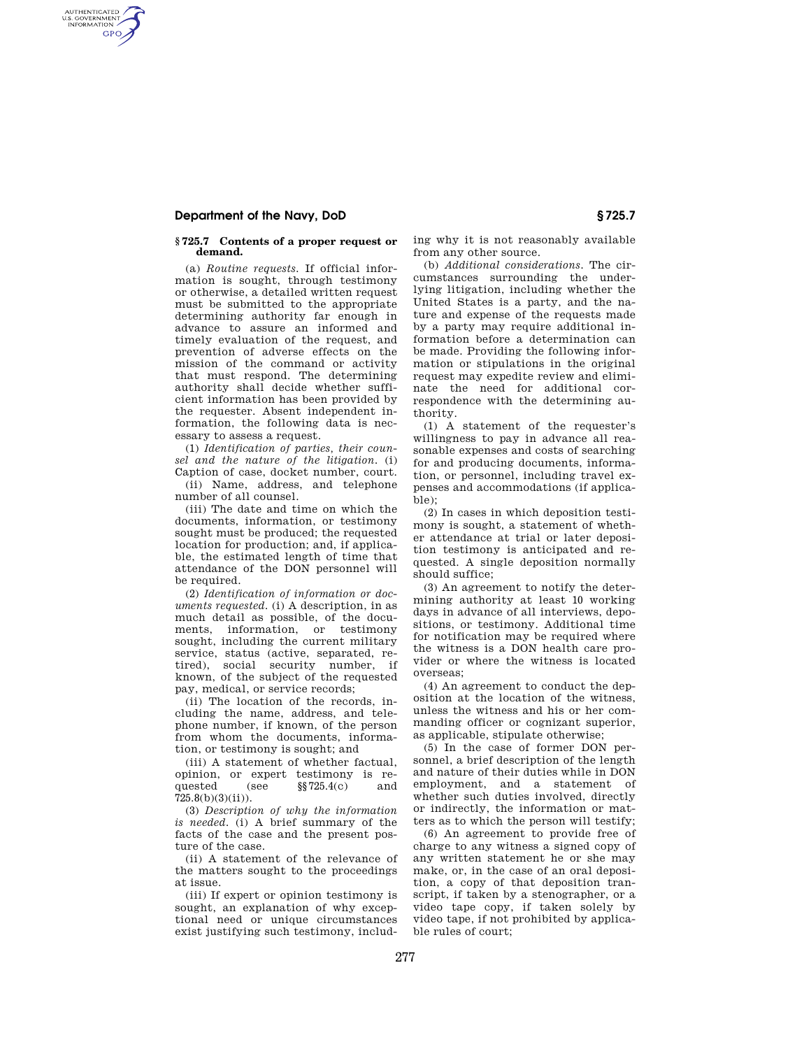## **Department of the Navy, DoD § 725.7**

AUTHENTICATED<br>U.S. GOVERNMENT<br>INFORMATION GPO

## **§ 725.7 Contents of a proper request or demand.**

(a) *Routine requests.* If official information is sought, through testimony or otherwise, a detailed written request must be submitted to the appropriate determining authority far enough in advance to assure an informed and timely evaluation of the request, and prevention of adverse effects on the mission of the command or activity that must respond. The determining authority shall decide whether sufficient information has been provided by the requester. Absent independent information, the following data is necessary to assess a request.

(1) *Identification of parties, their counsel and the nature of the litigation.* (i) Caption of case, docket number, court.

(ii) Name, address, and telephone number of all counsel.

(iii) The date and time on which the documents, information, or testimony sought must be produced; the requested location for production; and, if applicable, the estimated length of time that attendance of the DON personnel will be required.

(2) *Identification of information or documents requested.* (i) A description, in as much detail as possible, of the documents, information, or testimony sought, including the current military service, status (active, separated, retired), social security number, if known, of the subject of the requested pay, medical, or service records;

(ii) The location of the records, including the name, address, and telephone number, if known, of the person from whom the documents, information, or testimony is sought; and

(iii) A statement of whether factual, opinion, or expert testimony is requested (see §§725.4(c) and 725.8(b)(3)(ii)).

(3) *Description of why the information is needed.* (i) A brief summary of the facts of the case and the present posture of the case.

(ii) A statement of the relevance of the matters sought to the proceedings at issue.

(iii) If expert or opinion testimony is sought, an explanation of why exceptional need or unique circumstances exist justifying such testimony, including why it is not reasonably available from any other source.

(b) *Additional considerations.* The circumstances surrounding the underlying litigation, including whether the United States is a party, and the nature and expense of the requests made by a party may require additional information before a determination can be made. Providing the following information or stipulations in the original request may expedite review and eliminate the need for additional correspondence with the determining authority.

(1) A statement of the requester's willingness to pay in advance all reasonable expenses and costs of searching for and producing documents, information, or personnel, including travel expenses and accommodations (if applicable);

(2) In cases in which deposition testimony is sought, a statement of whether attendance at trial or later deposition testimony is anticipated and requested. A single deposition normally should suffice;

(3) An agreement to notify the determining authority at least 10 working days in advance of all interviews, depositions, or testimony. Additional time for notification may be required where the witness is a DON health care provider or where the witness is located overseas;

(4) An agreement to conduct the deposition at the location of the witness, unless the witness and his or her commanding officer or cognizant superior, as applicable, stipulate otherwise;

(5) In the case of former DON personnel, a brief description of the length and nature of their duties while in DON employment, and a statement of whether such duties involved, directly or indirectly, the information or matters as to which the person will testify;

(6) An agreement to provide free of charge to any witness a signed copy of any written statement he or she may make, or, in the case of an oral deposition, a copy of that deposition transcript, if taken by a stenographer, or a video tape copy, if taken solely by video tape, if not prohibited by applicable rules of court;